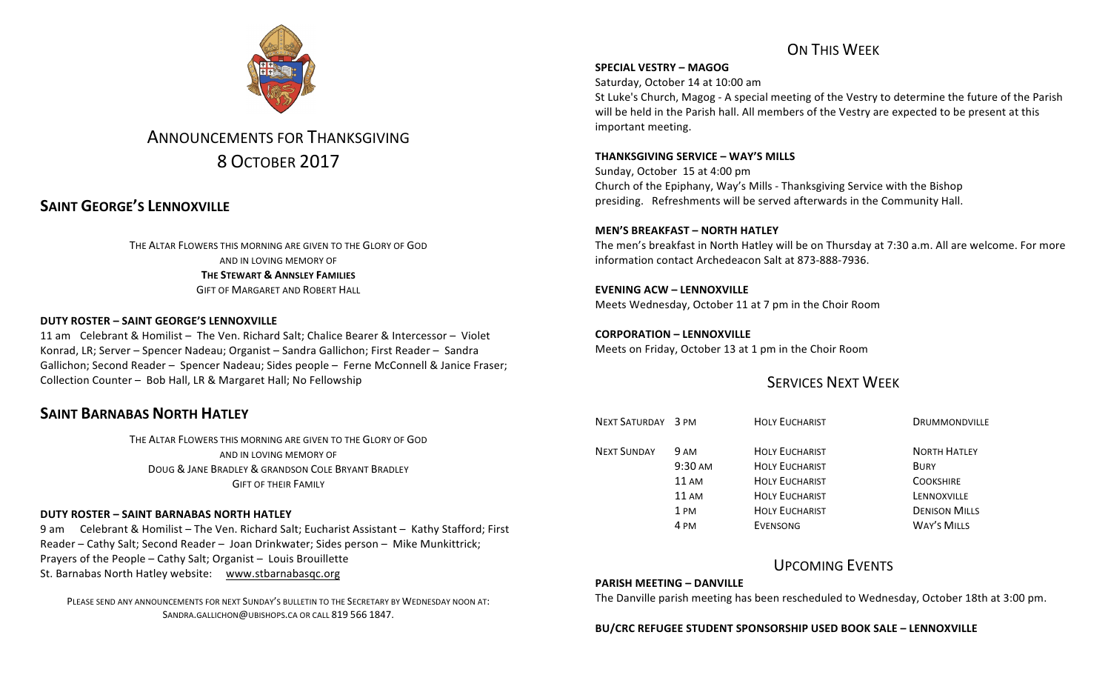

# ANNOUNCEMENTS FOR THANKSGIVING 8 OCTOBER 2017

## **SAINT GEORGE'S LENNOXVILLE**

THE ALTAR FLOWERS THIS MORNING ARE GIVEN TO THE GLORY OF GOD AND IN LOVING MEMORY OF **THE STEWART & ANNSLEY FAMILIES** GIFT OF MARGARET AND ROBERT HALL

## **DUTY ROSTER – SAINT GEORGE'S LENNOXVILLE**

11 am Celebrant & Homilist - The Ven. Richard Salt; Chalice Bearer & Intercessor - Violet Konrad, LR; Server – Spencer Nadeau; Organist – Sandra Gallichon; First Reader – Sandra Gallichon; Second Reader - Spencer Nadeau; Sides people - Ferne McConnell & Janice Fraser; Collection Counter - Bob Hall, LR & Margaret Hall; No Fellowship

## **SAINT BARNABAS NORTH HATLEY**

THE ALTAR FLOWERS THIS MORNING ARE GIVEN TO THE GLORY OF GOD AND IN LOVING MEMORY OF DOUG & JANE BRADLEY & GRANDSON COLE BRYANT BRADLEY **GIFT OF THEIR FAMILY** 

### **DUTY ROSTER – SAINT BARNABAS NORTH HATLEY**

9 am Celebrant & Homilist – The Ven. Richard Salt; Eucharist Assistant – Kathy Stafford; First Reader – Cathy Salt; Second Reader – Joan Drinkwater; Sides person – Mike Munkittrick; Prayers of the People  $-$  Cathy Salt; Organist  $-$  Louis Brouillette St. Barnabas North Hatley website: www.stbarnabasqc.org

PLEASE SEND ANY ANNOUNCEMENTS FOR NEXT SUNDAY'S BULLETIN TO THE SECRETARY BY WEDNESDAY NOON AT: SANDRA.GALLICHON@UBISHOPS.CA OR CALL 819 566 1847.

## ON THIS WEEK

### **SPECIAL VESTRY – MAGOG**

Saturday, October 14 at 10:00 am

St Luke's Church, Magog - A special meeting of the Vestry to determine the future of the Parish will be held in the Parish hall. All members of the Vestry are expected to be present at this important meeting.

### **THANKSGIVING SERVICE – WAY'S MILLS**

Sunday, October 15 at 4:00 pm Church of the Epiphany, Way's Mills - Thanksgiving Service with the Bishop presiding. Refreshments will be served afterwards in the Community Hall.

### **MEN'S BREAKFAST – NORTH HATLEY**

The men's breakfast in North Hatley will be on Thursday at 7:30 a.m. All are welcome. For more information contact Archedeacon Salt at 873-888-7936.

## **EVENING ACW – LENNOXVILLE**

Meets Wednesday, October 11 at 7 pm in the Choir Room

**CORPORATION – LENNOXVILLE** Meets on Friday, October 13 at 1 pm in the Choir Room

## **SERVICES NEXT WEEK**

| NEXT SATURDAY 3 PM |                   | <b>HOLY EUCHARIST</b> | <b>DRUMMONDVILLE</b> |
|--------------------|-------------------|-----------------------|----------------------|
| <b>NEXT SUNDAY</b> | 9 AM              | <b>HOLY EUCHARIST</b> | <b>NORTH HATLEY</b>  |
|                    | $9:30 \text{ AM}$ | <b>HOLY EUCHARIST</b> | <b>BURY</b>          |
|                    | <b>11 AM</b>      | <b>HOLY EUCHARIST</b> | <b>COOKSHIRE</b>     |
|                    | 11 AM             | <b>HOLY EUCHARIST</b> | LENNOXVILLE          |
|                    | 1 PM              | <b>HOLY EUCHARIST</b> | <b>DENISON MILLS</b> |
|                    | 4 PM              | EVENSONG              | <b>WAY'S MILLS</b>   |

## UPCOMING EVENTS

### **PARISH MEETING – DANVILLE**

The Danville parish meeting has been rescheduled to Wednesday, October 18th at 3:00 pm.

**BU/CRC REFUGEE STUDENT SPONSORSHIP USED BOOK SALE – LENNOXVILLE**